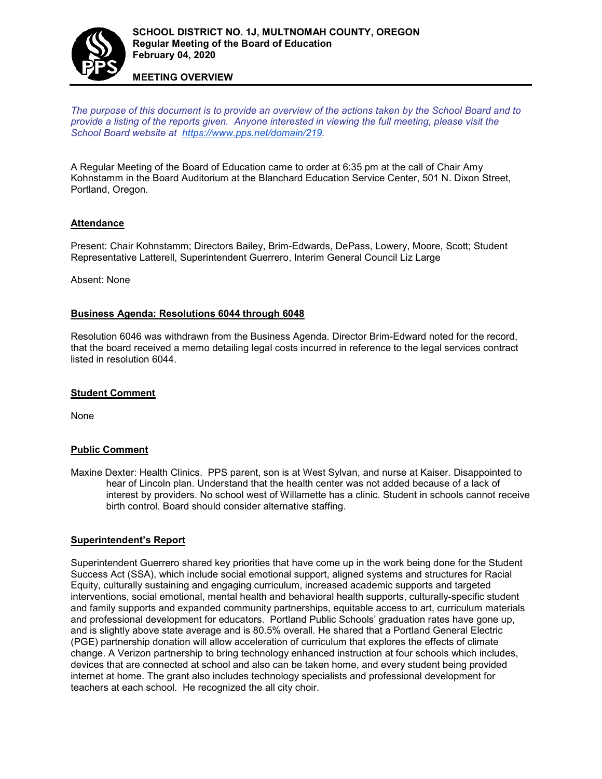

### **MEETING OVERVIEW**

*The purpose of this document is to provide an overview of the actions taken by the School Board and to provide a listing of the reports given. Anyone interested in viewing the full meeting, please visit the School Board website at [https://www.pps.net/domain/219.](https://www.pps.net/domain/219)*

A Regular Meeting of the Board of Education came to order at 6:35 pm at the call of Chair Amy Kohnstamm in the Board Auditorium at the Blanchard Education Service Center, 501 N. Dixon Street, Portland, Oregon.

### **Attendance**

Present: Chair Kohnstamm; Directors Bailey, Brim-Edwards, DePass, Lowery, Moore, Scott; Student Representative Latterell, Superintendent Guerrero, Interim General Council Liz Large

Absent: None

### **Business Agenda: Resolutions 6044 through 6048**

Resolution 6046 was withdrawn from the Business Agenda. Director Brim-Edward noted for the record, that the board received a memo detailing legal costs incurred in reference to the legal services contract listed in resolution 6044.

#### **Student Comment**

None

#### **Public Comment**

Maxine Dexter: Health Clinics. PPS parent, son is at West Sylvan, and nurse at Kaiser. Disappointed to hear of Lincoln plan. Understand that the health center was not added because of a lack of interest by providers. No school west of Willamette has a clinic. Student in schools cannot receive birth control. Board should consider alternative staffing.

#### **Superintendent's Report**

Superintendent Guerrero shared key priorities that have come up in the work being done for the Student Success Act (SSA), which include social emotional support, aligned systems and structures for Racial Equity, culturally sustaining and engaging curriculum, increased academic supports and targeted interventions, social emotional, mental health and behavioral health supports, culturally-specific student and family supports and expanded community partnerships, equitable access to art, curriculum materials and professional development for educators. Portland Public Schools' graduation rates have gone up, and is slightly above state average and is 80.5% overall. He shared that a Portland General Electric (PGE) partnership donation will allow acceleration of curriculum that explores the effects of climate change. A Verizon partnership to bring technology enhanced instruction at four schools which includes, devices that are connected at school and also can be taken home, and every student being provided internet at home. The grant also includes technology specialists and professional development for teachers at each school. He recognized the all city choir.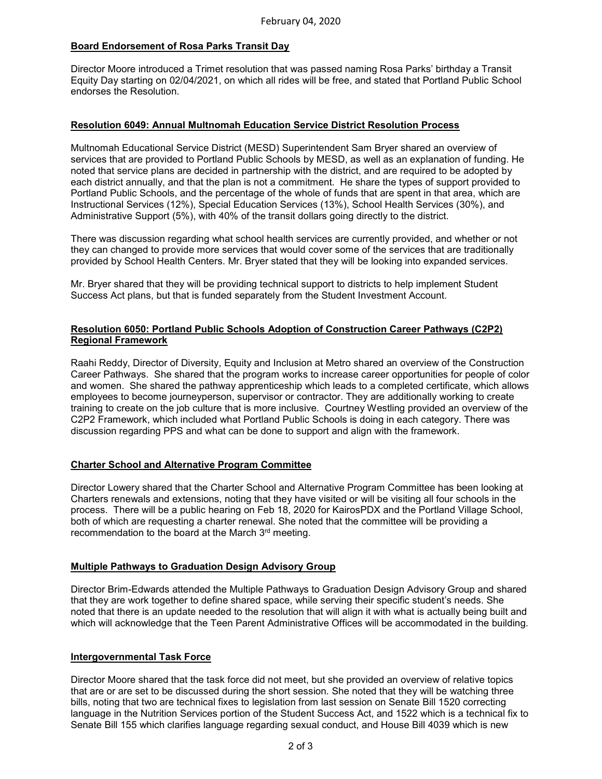# **Board Endorsement of Rosa Parks Transit Day**

Director Moore introduced a Trimet resolution that was passed naming Rosa Parks' birthday a Transit Equity Day starting on 02/04/2021, on which all rides will be free, and stated that Portland Public School endorses the Resolution.

### **Resolution 6049: Annual Multnomah Education Service District Resolution Process**

Multnomah Educational Service District (MESD) Superintendent Sam Bryer shared an overview of services that are provided to Portland Public Schools by MESD, as well as an explanation of funding. He noted that service plans are decided in partnership with the district, and are required to be adopted by each district annually, and that the plan is not a commitment. He share the types of support provided to Portland Public Schools, and the percentage of the whole of funds that are spent in that area, which are Instructional Services (12%), Special Education Services (13%), School Health Services (30%), and Administrative Support (5%), with 40% of the transit dollars going directly to the district.

There was discussion regarding what school health services are currently provided, and whether or not they can changed to provide more services that would cover some of the services that are traditionally provided by School Health Centers. Mr. Bryer stated that they will be looking into expanded services.

Mr. Bryer shared that they will be providing technical support to districts to help implement Student Success Act plans, but that is funded separately from the Student Investment Account.

## **Resolution 6050: Portland Public Schools Adoption of Construction Career Pathways (C2P2) Regional Framework**

Raahi Reddy, Director of Diversity, Equity and Inclusion at Metro shared an overview of the Construction Career Pathways. She shared that the program works to increase career opportunities for people of color and women. She shared the pathway apprenticeship which leads to a completed certificate, which allows employees to become journeyperson, supervisor or contractor. They are additionally working to create training to create on the job culture that is more inclusive. Courtney Westling provided an overview of the C2P2 Framework, which included what Portland Public Schools is doing in each category. There was discussion regarding PPS and what can be done to support and align with the framework.

## **Charter School and Alternative Program Committee**

Director Lowery shared that the Charter School and Alternative Program Committee has been looking at Charters renewals and extensions, noting that they have visited or will be visiting all four schools in the process. There will be a public hearing on Feb 18, 2020 for KairosPDX and the Portland Village School, both of which are requesting a charter renewal. She noted that the committee will be providing a recommendation to the board at the March 3rd meeting.

#### **Multiple Pathways to Graduation Design Advisory Group**

Director Brim-Edwards attended the Multiple Pathways to Graduation Design Advisory Group and shared that they are work together to define shared space, while serving their specific student's needs. She noted that there is an update needed to the resolution that will align it with what is actually being built and which will acknowledge that the Teen Parent Administrative Offices will be accommodated in the building.

#### **Intergovernmental Task Force**

Director Moore shared that the task force did not meet, but she provided an overview of relative topics that are or are set to be discussed during the short session. She noted that they will be watching three bills, noting that two are technical fixes to legislation from last session on Senate Bill 1520 correcting language in the Nutrition Services portion of the Student Success Act, and 1522 which is a technical fix to Senate Bill 155 which clarifies language regarding sexual conduct, and House Bill 4039 which is new